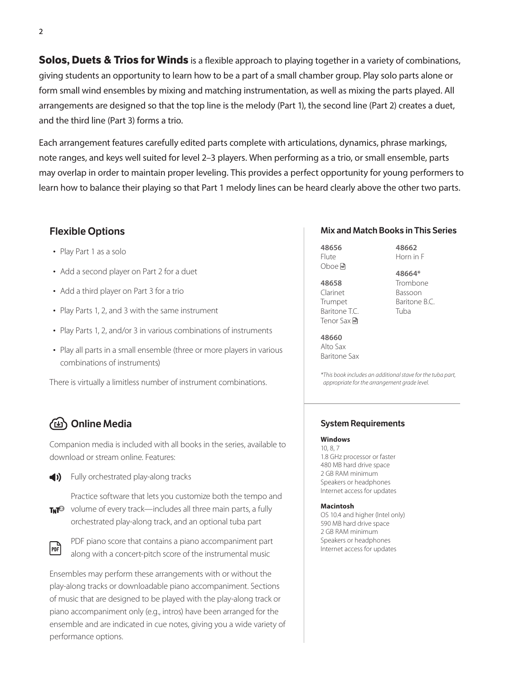**Solos, Duets & Trios for Winds** is a flexible approach to playing together in a variety of combinations, giving students an opportunity to learn how to be a part of a small chamber group. Play solo parts alone or form small wind ensembles by mixing and matching instrumentation, as well as mixing the parts played. All arrangements are designed so that the top line is the melody (Part 1), the second line (Part 2) creates a duet, and the third line (Part 3) forms a trio.

Each arrangement features carefully edited parts complete with articulations, dynamics, phrase markings, note ranges, and keys well suited for level 2–3 players. When performing as a trio, or small ensemble, parts may overlap in order to maintain proper leveling. This provides a perfect opportunity for young performers to learn how to balance their playing so that Part 1 melody lines can be heard clearly above the other two parts.

### Flexible Options

- Play Part 1 as a solo
- Add a second player on Part 2 for a duet
- Add a third player on Part 3 for a trio
- Play Parts 1, 2, and 3 with the same instrument
- Play Parts 1, 2, and/or 3 in various combinations of instruments
- Play all parts in a small ensemble (three or more players in various combinations of instruments)

There is virtually a limitless number of instrument combinations.

### Online Media

Companion media is included with all books in the series, available to download or stream online. Features:



 $\blacktriangleleft$ ) Fully orchestrated play-along tracks

Practice software that lets you customize both the tempo and **TNT**<sup>2</sup> volume of every track—includes all three main parts, a fully orchestrated play-along track, and an optional tuba part



PDF piano score that contains a piano accompaniment part along with a concert-pitch score of the instrumental music

Ensembles may perform these arrangements with or without the play-along tracks or downloadable piano accompaniment. Sections of music that are designed to be played with the play-along track or piano accompaniment only (e.g., intros) have been arranged for the ensemble and are indicated in cue notes, giving you a wide variety of performance options.

#### Mix and Match Books in This Series

**48656** Flute Oboe<sup>n</sup>

**48658** Clarinet Trumpet Baritone T.C. Tenor Sax <del>M</del>

**48662** Horn in F

**48664\*** Trombone Bassoon Baritone B.C. Tuba

**48660** Alto Sax Baritone Sax

*\*This book includes an additional stave for the tuba part, appropriate for the arrangement grade level.*

#### System Requirements

**Windows** 10, 8, 7

1.8 GHz processor or faster 480 MB hard drive space 2 GB RAM minimum Speakers or headphones Internet access for updates

#### **Macintosh**

OS 10.4 and higher (Intel only) 590 MB hard drive space 2 GB RAM minimum Speakers or headphones Internet access for updates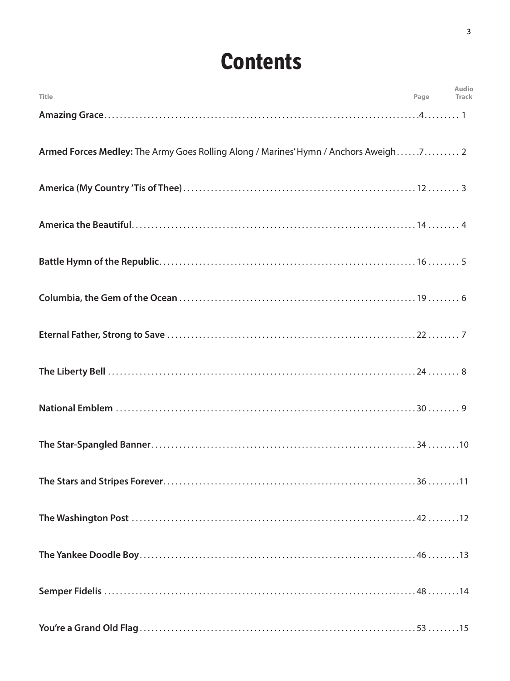# **Contents**

| <b>Title</b>                                                                         | Page | Audio<br>Track |
|--------------------------------------------------------------------------------------|------|----------------|
|                                                                                      |      |                |
| Armed Forces Medley: The Army Goes Rolling Along / Marines' Hymn / Anchors Aweigh7 2 |      |                |
|                                                                                      |      |                |
|                                                                                      |      |                |
|                                                                                      |      |                |
|                                                                                      |      |                |
|                                                                                      |      |                |
|                                                                                      |      |                |
|                                                                                      |      |                |
|                                                                                      |      |                |
|                                                                                      |      |                |
|                                                                                      |      |                |
|                                                                                      |      |                |
|                                                                                      |      |                |
|                                                                                      |      |                |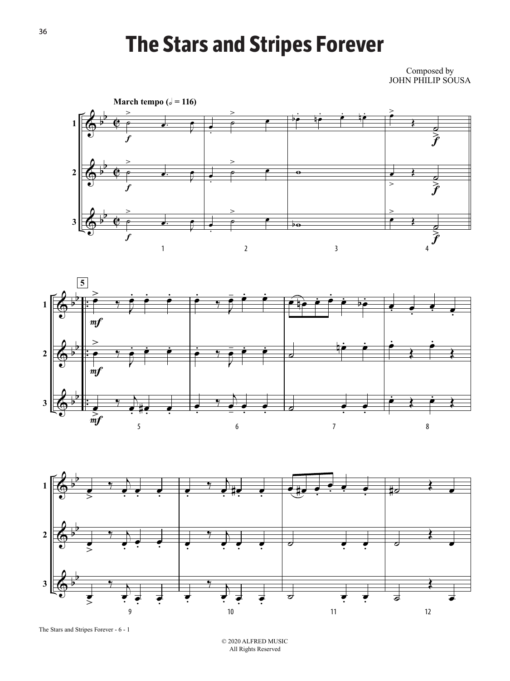## **The Stars and Stripes Forever**

Composed by JOHN PHILIP SOUSA







The Stars and Stripes Forever - 6 - 1

© 2020 ALFRED MUSIC All Rights Reserved